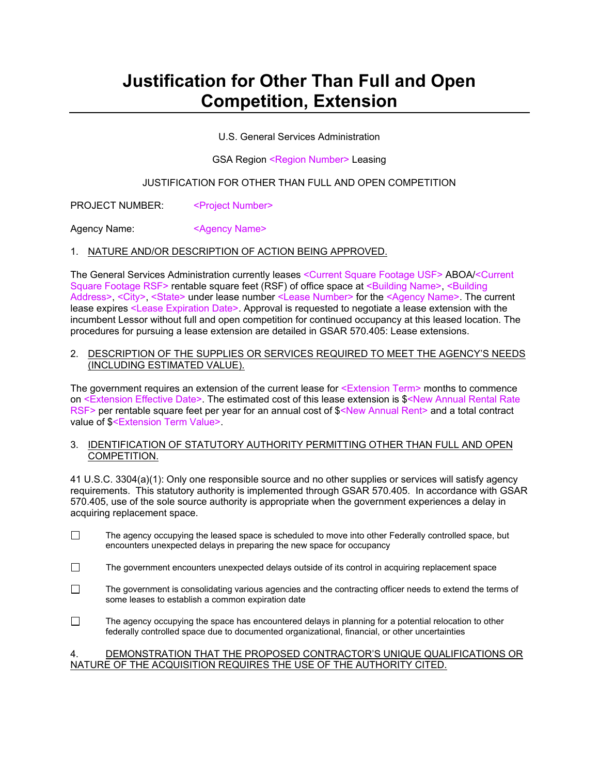# **Justification for Other Than Full and Open Competition, Extension**

U.S. General Services Administration

GSA Region <Region Number> Leasing

# JUSTIFICATION FOR OTHER THAN FULL AND OPEN COMPETITION

PROJECT NUMBER: <Project Number>

Agency Name: <Agency Name>

#### 1. NATURE AND/OR DESCRIPTION OF ACTION BEING APPROVED.

The General Services Administration currently leases <Current Square Footage USF> ABOA/<Current Square Footage RSF> rentable square feet (RSF) of office space at <Building Name>, <Building Address>, <City>, <State> under lease number <Lease Number> for the <Agency Name>. The current lease expires <Lease Expiration Date>. Approval is requested to negotiate a lease extension with the incumbent Lessor without full and open competition for continued occupancy at this leased location. The procedures for pursuing a lease extension are detailed in GSAR 570.405: Lease extensions.

#### 2. DESCRIPTION OF THE SUPPLIES OR SERVICES REQUIRED TO MEET THE AGENCY'S NEEDS (INCLUDING ESTIMATED VALUE).

The government requires an extension of the current lease for <Extension Term> months to commence on <Extension Effective Date>. The estimated cost of this lease extension is \$<New Annual Rental Rate RSF> per rentable square feet per year for an annual cost of \$<New Annual Rent> and a total contract value of \$<Extension Term Value>.

#### 3. IDENTIFICATION OF STATUTORY AUTHORITY PERMITTING OTHER THAN FULL AND OPEN COMPETITION.

41 U.S.C. 3304(a)(1): Only one responsible source and no other supplies or services will satisfy agency requirements. This statutory authority is implemented through GSAR 570.405. In accordance with GSAR 570.405, use of the sole source authority is appropriate when the government experiences a delay in acquiring replacement space.

- $\Box$ The agency occupying the leased space is scheduled to move into other Federally controlled space, but encounters unexpected delays in preparing the new space for occupancy
- $\Box$  The government encounters unexpected delays outside of its control in acquiring replacement space
- $\Box$ The government is consolidating various agencies and the contracting officer needs to extend the terms of some leases to establish a common expiration date
- $\Box$ The agency occupying the space has encountered delays in planning for a potential relocation to other federally controlled space due to documented organizational, financial, or other uncertainties

#### 4. DEMONSTRATION THAT THE PROPOSED CONTRACTOR'S UNIQUE QUALIFICATIONS OR NATURE OF THE ACQUISITION REQUIRES THE USE OF THE AUTHORITY CITED.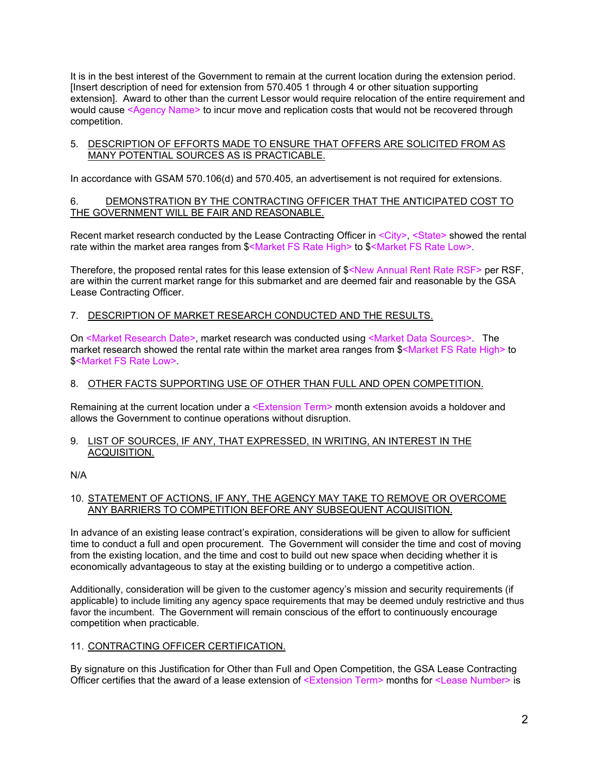It is in the best interest of the Government to remain at the current location during the extension period. [Insert description of need for extension from 570.405 1 through 4 or other situation supporting extension]. Award to other than the current Lessor would require relocation of the entire requirement and would cause <Agency Name> to incur move and replication costs that would not be recovered through competition.

# 5. DESCRIPTION OF EFFORTS MADE TO ENSURE THAT OFFERS ARE SOLICITED FROM AS MANY POTENTIAL SOURCES AS IS PRACTICABLE.

In accordance with GSAM 570.106(d) and 570.405, an advertisement is not required for extensions.

# 6. DEMONSTRATION BY THE CONTRACTING OFFICER THAT THE ANTICIPATED COST TO THE GOVERNMENT WILL BE FAIR AND REASONABLE.

Recent market research conducted by the Lease Contracting Officer in <City> <State> showed the rental rate within the market area ranges from \$<Market FS Rate High> to \$<Market FS Rate Low>.

Therefore, the proposed rental rates for this lease extension of \$<New Annual Rent Rate RSF> per RSF, are within the current market range for this submarket and are deemed fair and reasonable by the GSA Lease Contracting Officer.

# 7. DESCRIPTION OF MARKET RESEARCH CONDUCTED AND THE RESULTS.

On <Market Research Date>, market research was conducted using <Market Data Sources>. The market research showed the rental rate within the market area ranges from \$<Market FS Rate High> to \$<Market FS Rate Low>.

# 8. OTHER FACTS SUPPORTING USE OF OTHER THAN FULL AND OPEN COMPETITION.

Remaining at the current location under a <Extension Term> month extension avoids a holdover and allows the Government to continue operations without disruption.

#### 9. LIST OF SOURCES, IF ANY, THAT EXPRESSED, IN WRITING, AN INTEREST IN THE ACQUISITION.

N/A

#### 10. STATEMENT OF ACTIONS, IF ANY, THE AGENCY MAY TAKE TO REMOVE OR OVERCOME ANY BARRIERS TO COMPETITION BEFORE ANY SUBSEQUENT ACQUISITION.

In advance of an existing lease contract's expiration, considerations will be given to allow for sufficient time to conduct a full and open procurement. The Government will consider the time and cost of moving from the existing location, and the time and cost to build out new space when deciding whether it is economically advantageous to stay at the existing building or to undergo a competitive action.

Additionally, consideration will be given to the customer agency's mission and security requirements (if applicable) to include limiting any agency space requirements that may be deemed unduly restrictive and thus favor the incumbent. The Government will remain conscious of the effort to continuously encourage competition when practicable.

# 11. CONTRACTING OFFICER CERTIFICATION.

By signature on this Justification for Other than Full and Open Competition, the GSA Lease Contracting Officer certifies that the award of a lease extension of <Extension Term> months for <Lease Number> is